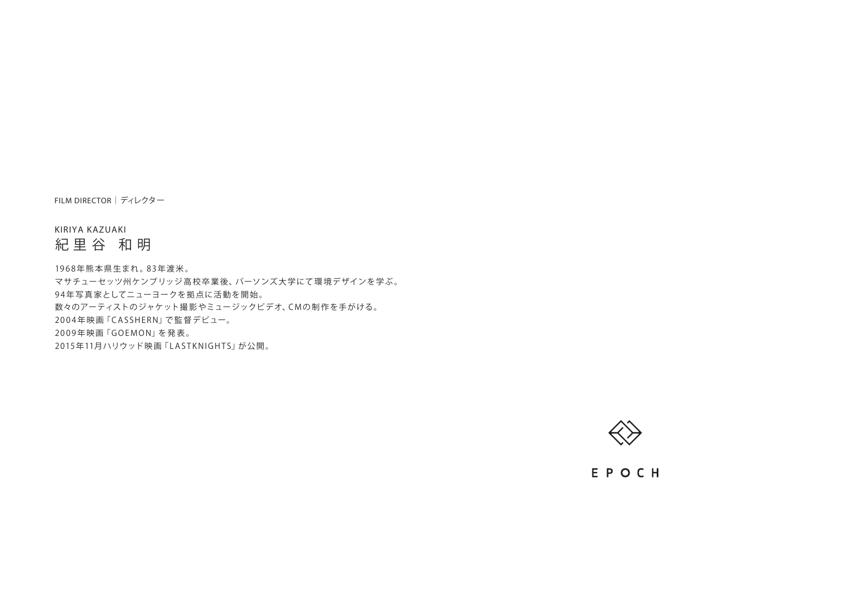FILM DIRECTOR|ディレクター

KIRIYA KAZUAKI

紀里谷 和明

19 6 8 年 熊 本 県 生まれ 。8 3 年渡 米 。

マサチューセッツ州ケンブリッジ 高 校 卒 業 後、パーソンズ 大 学にて 環 境デザインを学ぶ 。 94年写真家としてニューヨークを拠点に活動を開始。 数々のアーティストのジャケット撮 影 やミュージックビデオ、C M の 制 作 を手が ける。 2004年映画「CASSHERN」で監督デビュー。 2009年映画 「GOEMON」 を発表。 2015年11月ハリウッド映画「LASTKNIGHTS」が公開。



EPOCH